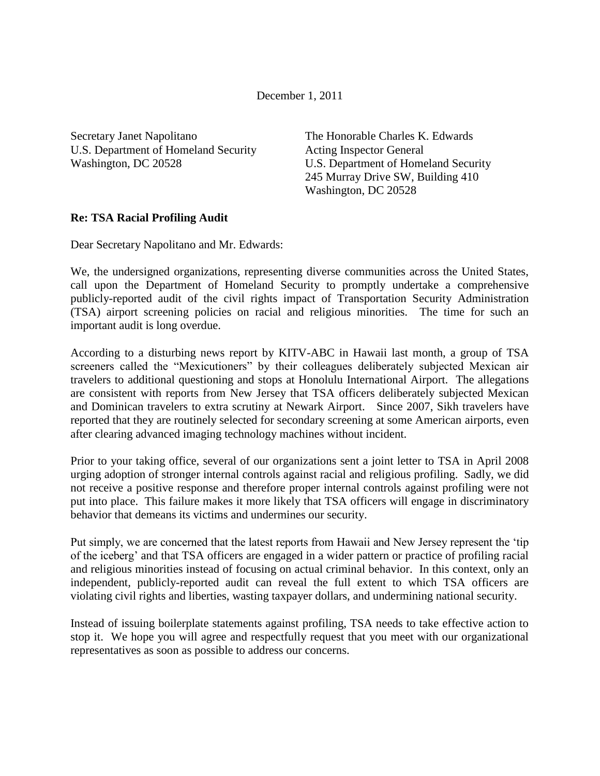December 1, 2011

Secretary Janet Napolitano U.S. Department of Homeland Security Washington, DC 20528

The Honorable Charles K. Edwards Acting Inspector General U.S. Department of Homeland Security 245 Murray Drive SW, Building 410 Washington, DC 20528

## **Re: TSA Racial Profiling Audit**

Dear Secretary Napolitano and Mr. Edwards:

We, the undersigned organizations, representing diverse communities across the United States, call upon the Department of Homeland Security to promptly undertake a comprehensive publicly-reported audit of the civil rights impact of Transportation Security Administration (TSA) airport screening policies on racial and religious minorities. The time for such an important audit is long overdue.

According to a disturbing news report by KITV-ABC in Hawaii last month, a group of TSA screeners called the "Mexicutioners" by their colleagues deliberately subjected Mexican air travelers to additional questioning and stops at Honolulu International Airport. The allegations are consistent with reports from New Jersey that TSA officers deliberately subjected Mexican and Dominican travelers to extra scrutiny at Newark Airport. Since 2007, Sikh travelers have reported that they are routinely selected for secondary screening at some American airports, even after clearing advanced imaging technology machines without incident.

Prior to your taking office, several of our organizations sent a joint letter to TSA in April 2008 urging adoption of stronger internal controls against racial and religious profiling. Sadly, we did not receive a positive response and therefore proper internal controls against profiling were not put into place. This failure makes it more likely that TSA officers will engage in discriminatory behavior that demeans its victims and undermines our security.

Put simply, we are concerned that the latest reports from Hawaii and New Jersey represent the "tip of the iceberg" and that TSA officers are engaged in a wider pattern or practice of profiling racial and religious minorities instead of focusing on actual criminal behavior. In this context, only an independent, publicly-reported audit can reveal the full extent to which TSA officers are violating civil rights and liberties, wasting taxpayer dollars, and undermining national security.

Instead of issuing boilerplate statements against profiling, TSA needs to take effective action to stop it. We hope you will agree and respectfully request that you meet with our organizational representatives as soon as possible to address our concerns.